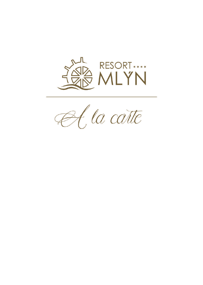

A, la catte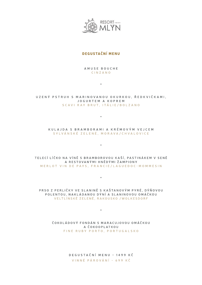

### DEGUSTAČNÍMENU

**AMUSE BOUCHE CINZANO**

**\***

**UZENÝ PSTRUH S MARINOVANOU OKURKOU,ŘEDKVIČKAMI, JOGURTEM A KOPREM SCAVIRAY BRUT,ITÁLIE/BOLZANO**

**\***

**KULAJDA S BRAMBORAMIA KRÉMOVÝM VEJCEM SYLVÁNSKÉ ZELENÉ,MORAVA/CHVALOVICE**

**\***

**TELECÍLÍČKO NA VÍNĚ S BRAMBOROVOU KAŠÍ,PASTINÁKEM V SENĚ A RESTOVANÝMIHNĚDÝMIŽAMPIONY MERLOT VIN DE PAYS,FRANCIE/LAGUEDOC-MOMMESIN**

**\***

**PRSO Z PERLIČKY VE SLANINĚ S KAŠTANOVÝM PYRÉ,DÝŇOVOU POLENTOU,NAKLÁDANOU DÝNÍA SLANINOVOU OMÁČKOU VELTLÍNSKÉ ZELENÉ,RAKOUSKO /W OLKESDORF**

> **ČOKOLÁDOVÝ FONDÁN S MARACUJOVOU OMÁČKOU A ČOKOOPLATKOU FINE RUBY PORTO,PORTUGALSKO**

**\***

**DEGUSTAČNÍMENU - 1499 KČ VINNÉ PÁROVÁNÍ- 699 KČ**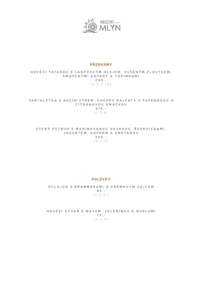

#### PŘEDKRMY

**HOVĚZÍTATARÁK S LANÝŽOVÝM OLEJEM,SUŠENÝM ŽLOUTKEM, SMAŽENÝMIKAPARY A TOPINKAMI 249,- (1,2,3,14)**

**TARTALETKA S KOZÍM SÝREM,CHERRY RAJČATY S TAPENÁDOU A CITRONOVOU OMÁČKOU 219,- (1,7,8)**

**UZENÝ PSTRUH S MARINOVANOU OKURKOU,ŘEDKVIČKAMI, JOGURTEM,KOPREM A SMETANOU 269,- (4,7,3)**

#### POLÉVKY

**KULAJDA S BRAMBORAMIA KRÉMOVÝM VEJCEM 89,- (1,3,7,)**

**HOVĚZÍVÝVAR S MASEM,ZELENINOU A NUDLEMI 79,- (1,3,9)**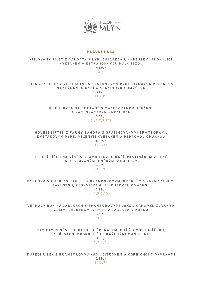

### HLAVNÍJÍDLA

#### **GRILOVANÝ FILET Z CANDÁTA S RYBÍBUJABÉZOU,CHŘESTEM,BROKOLICÍ, KVĚTÁKEM A ESTRAGONOVOU MAJONÉZOU 429,- (3,4)**

**PRSO Z PERLIČKY VE SLANINĚ S KAŠTANOVÝM PYRÉ,DÝŇOVOU POLENTOU, NAKLÁDANOU DÝNÍA SLANINOVOU OMÁČKOU 419,-**

**(1,7,8)**

#### **JELENÍKÝTA NA SMETANĚ S MACEROVANOU HRUŠKOU A KARLOVARSKÝM KNEDLÍKEM 369,- (1,3,7,9,10)**

**HOVĚZÍBIFTEK Z FARMY ZÁHORA S GRATINOVANÝMIBRAMBORAMI, KVĚTÁKOVÝM PYRÉ,PEČENÝM KVĚTÁKEM A PEPŘOVOU OMÁČKOU 649,- (1,3,7)**

**TELECÍLÍČKO NA VÍNĚ S BRAMBOROVOU KAŠÍ,PASTINÁKEM V SENĚ A RESTOVANÝMIHNĚDÝMIŽAMPIONY 409,- (1,7,9)**

**PANENKA V CHORIZO KRUSTĚ S BRAMBOROVÝMIKROKETY S PARMAZÁNEM, KAPUSTOU,ŘEDKVIČKAMIA HOUBOVOU OMÁČKOU 399,-**

**(1,3,7,10)**

**VEPŘOVÝ BOK NA JABLKÁCH S BRAMBOROVÝMILOKŠI,KARAMELIZOVANÝM ZELÍM,ŠALOTKAMIV OCTĚ A JABLKEM V KŘENU 389,- (1,3,)**

**RAVIOLY PLNĚNÉ RICOTTOU A ŠPENÁTEM,HRÁŠKOVOU OMÁČKOU, CHŘESTEM,BROKOLICÍA PRAŽENÝMIMANDLEMI 339,- (1,3,7,8,)**

**KUŘECÍŘÍZEK S BRAMBOROVOU KAŠÍ,CITRONEM A CORNICHONS OKURKAMI 239,- (1,3,7)**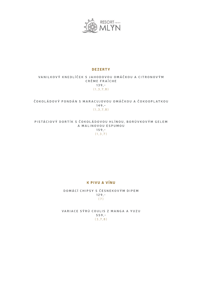

#### DEZERTY

#### **VANILKOVÝ KNEDLÍČEK S JAHODOVOU OMÁČKOU A CITRONOVÝM CRÈME FRAÎCHE 139,- (1,3,7,8)**

**ČOKOLÁDOVÝ FONDÁN S MARACUJOVOU OMÁČKOU A ČOKOOPLATKOU 149,- (1,3,7,8)**

**PISTÁCIOVÝ DORTÍK S ČOKOLÁDOVOU HLÍNOU,BORŮVKOVÝM GELEM A MALINOVOU ESPUMOU 159,- (1,3,7)**

## KPIVUA VÍNU

**DOMÁCÍCHIPSY S ČESNEKOVÝM DIPEM 129,- (7)**

**VARIACE SÝRŮ COULIS Z MANGA A YUZU 559,- (3,7,8)**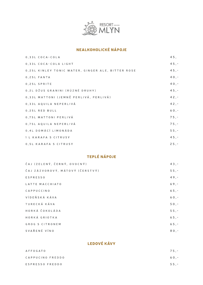

# NEALKOHOLICKÉ NÁPOJE

| 0.33L COCA-COLA                                   | 45,     |
|---------------------------------------------------|---------|
| 0,33L COCA-COLA LIGHT                             | $45, -$ |
| 0,25L KINLEY TONIC WATER, GINGER ALE, BITTER ROSE | $45, -$ |
| 0,25L FANTA                                       | $40, -$ |
| 0,25L SPRITE                                      | $40, -$ |
| 0,2L DŽUS GRANINI (RŮZNÉ DRUHY)                   | $45, -$ |
| 0,33L MATTONI (JEMNĚ PERLIVÁ, PERLIVÁ)            | $42, -$ |
| 0,33L AQUILA NEPERLIVÁ                            | $42, -$ |
| 0.25L RED BULL                                    | $60, -$ |
| 0,75L MATTONI PERLIVÁ                             | $75, -$ |
| 0,75L AQUILA NEPERLIVÁ                            | $75, -$ |
| 0,4L DOMÁCÍ LIMONÁDA                              | $55, -$ |
| 1 L KARAFA S CITRUSY                              | $45, -$ |
| 0.5L KARAFA S CITRUSY                             | $25, -$ |

# TEPLÉ NÁPOJE

| ČAJ (ZELENÝ, ČERNÝ, OVOCNÝ)     | $43, -$ |
|---------------------------------|---------|
| ČAJ ZÁZVOROVÝ, MÁTOVÝ (ČERSTVÝ) | $55, -$ |
| <b>ESPRESSO</b>                 | $49, -$ |
| LATTE MACCHIATO                 | $69, -$ |
| CAPPUCCINO                      | $65, -$ |
| VÍDEŇSKÁ KÁVA                   | $60, -$ |
| TURECKÁ KÁVA                    | $50, -$ |
| HORKÁ ČOKOLÁDA                  | $55, -$ |
| HORKÁ GRIOTKA                   | $65, -$ |
| <b>GROG S CITRONEM</b>          | $65, -$ |
| SVAŘENÉ VÍNO                    | $80, -$ |

# LEDOVÉ KÁVY

| <b>AFFOGATO</b>  | 75.- |
|------------------|------|
| CAPPUCINO FREDDO | 60.- |
| ESPRESSO FREDDO  | 55.- |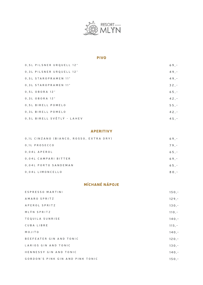

### PIVO

| 0,5L PILSNER URQUELL 12°   | $69. -$ |
|----------------------------|---------|
| 0, 3L PILSNER URQUELL 12°  | $49. -$ |
| 0,5L STAROPRAMEN 11°       | $49, -$ |
| 0.3L STAROPRAMEN 11°       | $32, -$ |
| 0,5L OBORA 12°             | $65, -$ |
| 0,3L OBORA 12°             | $42. -$ |
| 0,5L BIRELL POMELO         | $55, -$ |
| 0.3L BIRELL POMELO         | $42, -$ |
| 0,5L BIRELL SVĚTLÝ - LAHEV | $45. -$ |

### APERITIVY

| 0,1L CINZANO (BIANCO, ROSSO, EXTRA DRY) | $69. -$ |
|-----------------------------------------|---------|
| 0.1L PROSECCO                           | $79. -$ |
| 0.04L APEROL                            | $65. -$ |
| 0.04L CAMPARI BITTER                    | $69. -$ |
| 0,04L PORTO SANDEMAN                    | $65. -$ |
| 0,04L LIMONCELLO                        | $80. -$ |

# MÍCHANÉ NÁPOJE

| ESPRESSO MARTINI                 | $150, -$ |
|----------------------------------|----------|
| AMARO SPRITZ                     | $129, -$ |
| APEROL SPRITZ                    | $130,-$  |
| MLÝN SPRITZ                      | $110, -$ |
| TEQUILA SUNRISE                  | $140, -$ |
| CUBA LIBRE                       | $115, -$ |
| MOJITO                           | $140, -$ |
| BEEFEATER GIN AND TONIC          | $120, -$ |
| LARIOS GIN AND TONIC             | $130,-$  |
| HENNESSY GIN AND TONIC           | $140. -$ |
| GORDON'S PINK GIN AND PINK TONIC | $150. -$ |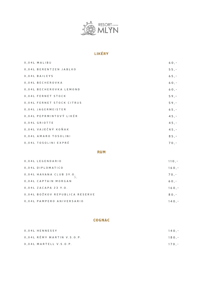

# LIKÉRY

| 0.04L MALIBU  |                           | $60, -$ |
|---------------|---------------------------|---------|
|               | 0.04L BERENTZEN JABLKO    | $55, -$ |
| 0,04L BAILEYS |                           | $65, -$ |
|               | 0.04L BECHEROVKA          | $60, -$ |
|               | 0.04L BECHEROVKA LEMOND   | $60, -$ |
|               | 0,04L FERNET STOCK        | $59. -$ |
|               | 0.04L FERNET STOCK CITRUS | $59, -$ |
|               | 0.04L JAGERMEISTER        | $65, -$ |
|               | 0,04L PEPRMINTOVÝ LIKÉR   | $45, -$ |
| 0,04L GRIOTTE |                           | $45, -$ |
|               | 0,04L VAJEČNÝ KOŇAK       | $45, -$ |
|               | 0,04L AMARO TOSOLINI      | $85, -$ |
|               | 0,04L TOSOLINI EXPRÉ      | $70, -$ |

### **RUM**

| 0.04L LEGENDARIO               | $110 - -$ |
|--------------------------------|-----------|
| 0,04L DIPLOMATICO              | $160 -$   |
| 0,04L HAVANA CLUB 3Y.O.        | 70.7      |
| 0.04L CAPTAIN MORGAN           | 60.7      |
| 0,04L ZACAPA 23 Y.O.           | 160.7     |
| 0,04L BOŽKOV REPUBLICA RESERVE | 80.7      |
| 0.04L PAMPERO ANIVERSARIO      | $140. -$  |

## **COGNAC**

| 0.04L HENNESSY             | $140 -$ |
|----------------------------|---------|
| 0,04L RÉMY MARTIN V.S.O.P. | 180.-   |
| 0.04L MARTELL V.S.O.P.     | $170 -$ |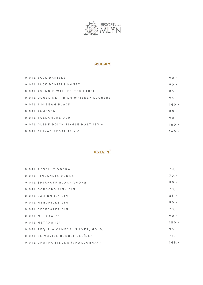

#### **WHISKY**

| 0.04L JACK DANIELS                    | $90. -$  |
|---------------------------------------|----------|
| 0,04L JACK DANIELS HONEY              | 90.7     |
| 0,04L JOHNNIE WALKER RED LABEL        | $85, -$  |
| 0.04L DOUBLINER IRISH WHISKEY LUQUERE | $95. -$  |
| 0.04L JIM BEAM BLACK                  | $140, -$ |
| 0.04L JAMESON                         | $80. -$  |
| 0.04L TULLAMORE DEW                   | 90.7     |
| 0.04L GLENFIDDICH SINGLE MALT 12Y.0   | 160.7    |
| 0.04L CHIVAS REGAL 12 Y.O             | $160. -$ |

## **OSTATNÍ**

| 0,04L ABSOLUT VODKA                 | 70.7     |
|-------------------------------------|----------|
| 0.04L FINLANDIA VODKA               | $70, -$  |
| 0,04L SMIRNOFF BLACK VODKA          | $80, -$  |
| 0.04L GORDONS PINK GIN              | 70.7     |
| 0.04L LARION 12* GIN                | $85, -$  |
| 0.04L HENDRICKS GIN                 | $90, -$  |
| 0,04L BEEFEATER GIN                 | 70.7     |
| $0.04L$ METAXA 7*                   | $90. -$  |
| $0,04L$ METAXA 12*                  | $180, -$ |
| 0,04L TEQUILA OLMECA (SILVER, GOLD) | $95. -$  |
| 0,04L SLIVOVICE RUDOLF JELÍNEK      | $75. -$  |
| 0,04L GRAPPA SIBONA (CHARDONNAY)    | $149. -$ |